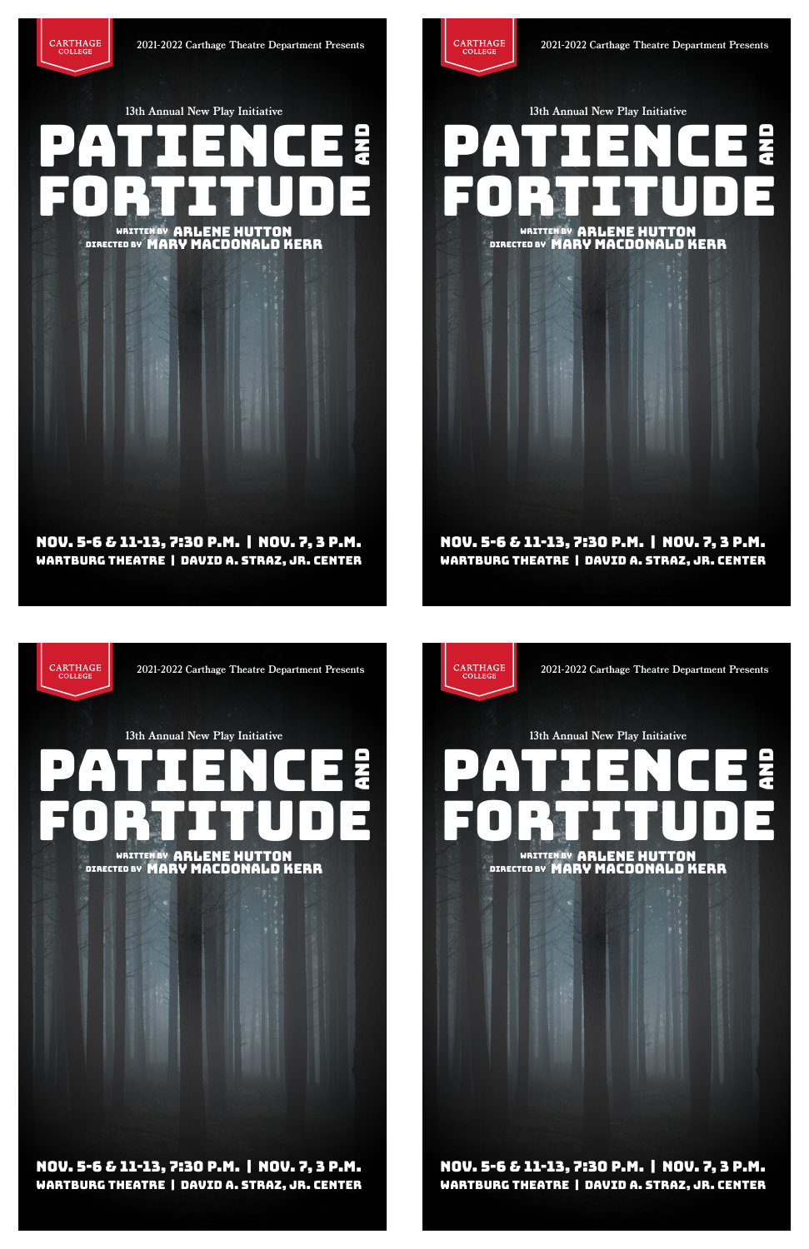PATIENCE

PATIENCE

WRITTEN BY ARLENE HUTTON DIRECTED BY MARY MACDONALD KERR

13th Annual New Play Initiative

 $\begin{array}{ll} \textbf{CARTHAGE} \\ \textbf{COLLEGE} \end{array}$ 



2021-2022 Carthage Theatre Department Presents

Nov. 5-6 & 11-13, 7:30 p.m. | Nov. 7, 3 p.m. Wartburg Theatre | David A. Straz, Jr. Center

> WRITTEN BY ARLENE HUTTON DIRECTED BY MARY MACDONALD KERR

CARTHAGE<br>COLLEGE 2021-2022 Carthage Theatre Department Presents 13th Annual New Play Initiative PATIENCE PATIENCE



WRITTEN BY ARLENE HUTTON DIRECTED BY MARY MACDONALD KERR

13th Annual New Play Initiative

2021-2022 Carthage Theatre Department Presents

Nov. 5-6 & 11-13, 7:30 p.m. | Nov. 7, 3 p.m. Wartburg Theatre | David A. Straz, Jr. Center

# Nov. 5-6 & 11-13, 7:30 p.m. | Nov. 7, 3 p.m. Wartburg Theatre | David A. Straz, Jr. Center

# Nov. 5-6 & 11-13, 7:30 p.m. | Nov. 7, 3 p.m. Wartburg Theatre | David A. Straz, Jr. Center